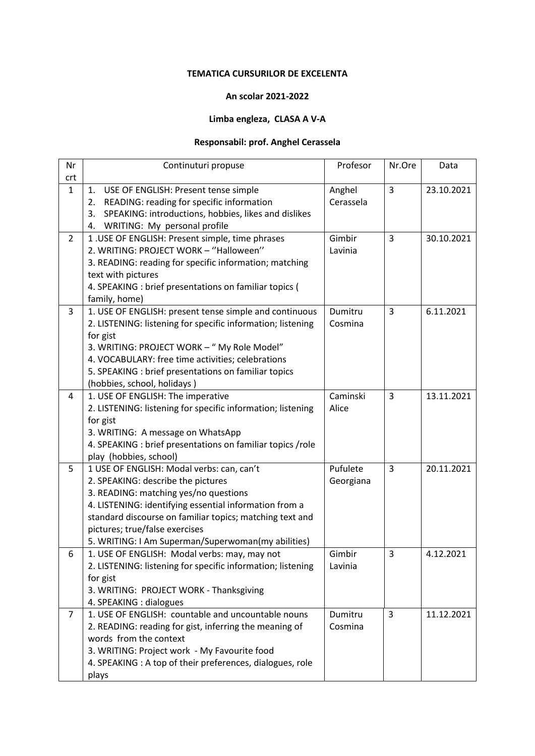## **TEMATICA CURSURILOR DE EXCELENTA**

## **An scolar 2021-2022**

## **Limba engleza, CLASA A V-A**

## **Responsabil: prof. Anghel Cerassela**

| Nr             | Continuturi propuse                                                                                      | Profesor  | Nr.Ore         | Data       |
|----------------|----------------------------------------------------------------------------------------------------------|-----------|----------------|------------|
| crt            |                                                                                                          |           |                |            |
| $\mathbf{1}$   | USE OF ENGLISH: Present tense simple<br>1.                                                               | Anghel    | 3              | 23.10.2021 |
|                | READING: reading for specific information<br>2.                                                          | Cerassela |                |            |
|                | SPEAKING: introductions, hobbies, likes and dislikes<br>3.                                               |           |                |            |
|                | WRITING: My personal profile<br>4.                                                                       |           |                |            |
| $\overline{2}$ | 1. USE OF ENGLISH: Present simple, time phrases                                                          | Gimbir    | 3              | 30.10.2021 |
|                | 2. WRITING: PROJECT WORK - "Halloween"                                                                   | Lavinia   |                |            |
|                | 3. READING: reading for specific information; matching                                                   |           |                |            |
|                | text with pictures                                                                                       |           |                |            |
|                | 4. SPEAKING : brief presentations on familiar topics (                                                   |           |                |            |
|                | family, home)                                                                                            |           |                |            |
| 3              | 1. USE OF ENGLISH: present tense simple and continuous                                                   | Dumitru   | $\overline{3}$ | 6.11.2021  |
|                | 2. LISTENING: listening for specific information; listening                                              | Cosmina   |                |            |
|                | for gist<br>3. WRITING: PROJECT WORK - " My Role Model"                                                  |           |                |            |
|                | 4. VOCABULARY: free time activities; celebrations                                                        |           |                |            |
|                | 5. SPEAKING : brief presentations on familiar topics                                                     |           |                |            |
|                | (hobbies, school, holidays)                                                                              |           |                |            |
| 4              | 1. USE OF ENGLISH: The imperative                                                                        | Caminski  | 3              | 13.11.2021 |
|                | 2. LISTENING: listening for specific information; listening                                              | Alice     |                |            |
|                | for gist                                                                                                 |           |                |            |
|                | 3. WRITING: A message on WhatsApp                                                                        |           |                |            |
|                | 4. SPEAKING : brief presentations on familiar topics /role                                               |           |                |            |
|                | play (hobbies, school)                                                                                   |           |                |            |
| 5              | 1 USE OF ENGLISH: Modal verbs: can, can't                                                                | Pufulete  | 3              | 20.11.2021 |
|                | 2. SPEAKING: describe the pictures                                                                       | Georgiana |                |            |
|                | 3. READING: matching yes/no questions                                                                    |           |                |            |
|                | 4. LISTENING: identifying essential information from a                                                   |           |                |            |
|                | standard discourse on familiar topics; matching text and                                                 |           |                |            |
|                | pictures; true/false exercises                                                                           |           |                |            |
|                | 5. WRITING: I Am Superman/Superwoman(my abilities)                                                       |           |                |            |
| 6              | 1. USE OF ENGLISH: Modal verbs: may, may not                                                             | Gimbir    | 3              | 4.12.2021  |
|                | 2. LISTENING: listening for specific information; listening                                              | Lavinia   |                |            |
|                | for gist                                                                                                 |           |                |            |
|                | 3. WRITING: PROJECT WORK - Thanksgiving                                                                  |           |                |            |
|                | 4. SPEAKING : dialogues                                                                                  |           |                |            |
| $\overline{7}$ | 1. USE OF ENGLISH: countable and uncountable nouns                                                       | Dumitru   | 3              | 11.12.2021 |
|                | 2. READING: reading for gist, inferring the meaning of                                                   | Cosmina   |                |            |
|                | words from the context                                                                                   |           |                |            |
|                | 3. WRITING: Project work - My Favourite food<br>4. SPEAKING: A top of their preferences, dialogues, role |           |                |            |
|                |                                                                                                          |           |                |            |
|                | plays                                                                                                    |           |                |            |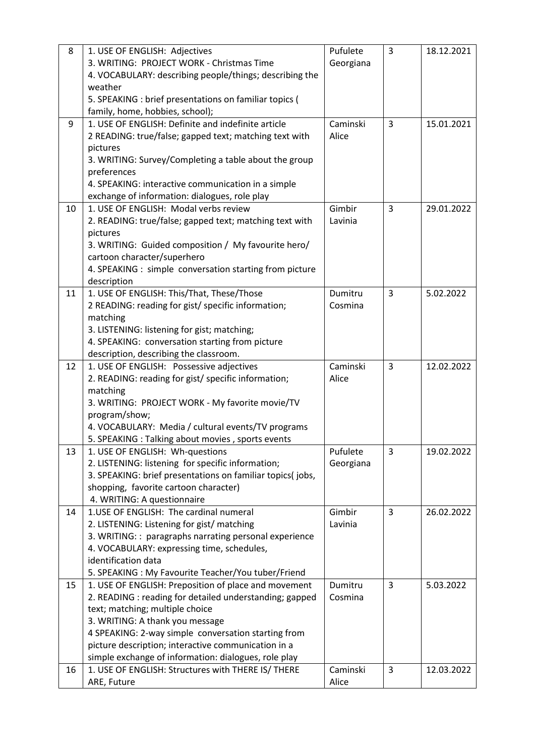| 8  | 1. USE OF ENGLISH: Adjectives                                                                      | Pufulete  | 3 | 18.12.2021 |
|----|----------------------------------------------------------------------------------------------------|-----------|---|------------|
|    | 3. WRITING: PROJECT WORK - Christmas Time                                                          | Georgiana |   |            |
|    | 4. VOCABULARY: describing people/things; describing the                                            |           |   |            |
|    | weather                                                                                            |           |   |            |
|    | 5. SPEAKING : brief presentations on familiar topics (                                             |           |   |            |
|    | family, home, hobbies, school);                                                                    |           |   |            |
| 9  | 1. USE OF ENGLISH: Definite and indefinite article                                                 | Caminski  | 3 | 15.01.2021 |
|    | 2 READING: true/false; gapped text; matching text with                                             | Alice     |   |            |
|    | pictures                                                                                           |           |   |            |
|    | 3. WRITING: Survey/Completing a table about the group                                              |           |   |            |
|    | preferences                                                                                        |           |   |            |
|    | 4. SPEAKING: interactive communication in a simple                                                 |           |   |            |
|    | exchange of information: dialogues, role play                                                      |           |   |            |
| 10 | 1. USE OF ENGLISH: Modal verbs review                                                              | Gimbir    | 3 | 29.01.2022 |
|    | 2. READING: true/false; gapped text; matching text with                                            | Lavinia   |   |            |
|    | pictures                                                                                           |           |   |            |
|    | 3. WRITING: Guided composition / My favourite hero/                                                |           |   |            |
|    | cartoon character/superhero                                                                        |           |   |            |
|    | 4. SPEAKING : simple conversation starting from picture                                            |           |   |            |
|    | description                                                                                        |           |   |            |
| 11 | 1. USE OF ENGLISH: This/That, These/Those                                                          | Dumitru   | 3 | 5.02.2022  |
|    | 2 READING: reading for gist/ specific information;                                                 | Cosmina   |   |            |
|    | matching                                                                                           |           |   |            |
|    | 3. LISTENING: listening for gist; matching;                                                        |           |   |            |
|    | 4. SPEAKING: conversation starting from picture                                                    |           |   |            |
|    | description, describing the classroom.                                                             |           |   |            |
| 12 | 1. USE OF ENGLISH: Possessive adjectives                                                           | Caminski  | 3 | 12.02.2022 |
|    | 2. READING: reading for gist/ specific information;                                                | Alice     |   |            |
|    | matching                                                                                           |           |   |            |
|    | 3. WRITING: PROJECT WORK - My favorite movie/TV                                                    |           |   |            |
|    | program/show;                                                                                      |           |   |            |
|    | 4. VOCABULARY: Media / cultural events/TV programs                                                 |           |   |            |
|    | 5. SPEAKING : Talking about movies, sports events                                                  |           |   |            |
| 13 | 1. USE OF ENGLISH: Wh-questions                                                                    | Pufulete  | 3 | 19.02.2022 |
|    | 2. LISTENING: listening for specific information;                                                  | Georgiana |   |            |
|    | 3. SPEAKING: brief presentations on familiar topics(jobs,<br>shopping, favorite cartoon character) |           |   |            |
|    | 4. WRITING: A questionnaire                                                                        |           |   |            |
| 14 | 1. USE OF ENGLISH: The cardinal numeral                                                            | Gimbir    | 3 | 26.02.2022 |
|    | 2. LISTENING: Listening for gist/ matching                                                         | Lavinia   |   |            |
|    | 3. WRITING:: paragraphs narrating personal experience                                              |           |   |            |
|    | 4. VOCABULARY: expressing time, schedules,                                                         |           |   |            |
|    | identification data                                                                                |           |   |            |
|    | 5. SPEAKING: My Favourite Teacher/You tuber/Friend                                                 |           |   |            |
| 15 | 1. USE OF ENGLISH: Preposition of place and movement                                               | Dumitru   | 3 | 5.03.2022  |
|    | 2. READING : reading for detailed understanding; gapped                                            | Cosmina   |   |            |
|    | text; matching; multiple choice                                                                    |           |   |            |
|    | 3. WRITING: A thank you message                                                                    |           |   |            |
|    | 4 SPEAKING: 2-way simple conversation starting from                                                |           |   |            |
|    | picture description; interactive communication in a                                                |           |   |            |
|    | simple exchange of information: dialogues, role play                                               |           |   |            |
| 16 | 1. USE OF ENGLISH: Structures with THERE IS/ THERE                                                 | Caminski  | 3 | 12.03.2022 |
|    | ARE, Future                                                                                        | Alice     |   |            |